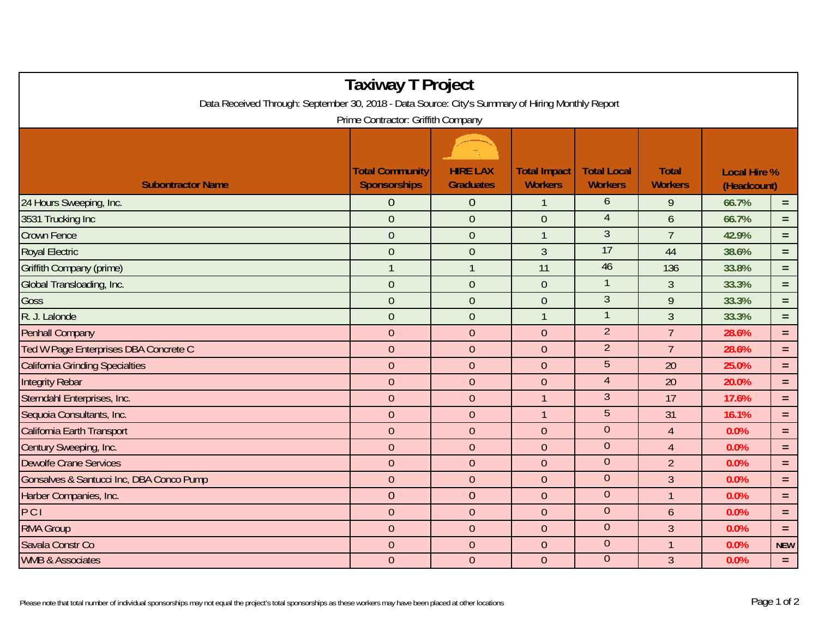| <b>Taxiway T Project</b>                                                                                                               |                                               |                                     |                                       |                                      |                                |                                    |            |  |  |  |  |  |
|----------------------------------------------------------------------------------------------------------------------------------------|-----------------------------------------------|-------------------------------------|---------------------------------------|--------------------------------------|--------------------------------|------------------------------------|------------|--|--|--|--|--|
| Data Received Through: September 30, 2018 - Data Source: City's Summary of Hiring Monthly Report<br>Prime Contractor: Griffith Company |                                               |                                     |                                       |                                      |                                |                                    |            |  |  |  |  |  |
| <b>Subontractor Name</b>                                                                                                               | <b>Total Community</b><br><b>Sponsorships</b> | <b>HIRE LAX</b><br><b>Graduates</b> | <b>Total Impact</b><br><b>Workers</b> | <b>Total Local</b><br><b>Workers</b> | <b>Total</b><br><b>Workers</b> | <b>Local Hire %</b><br>(Headcount) |            |  |  |  |  |  |
| 24 Hours Sweeping, Inc.                                                                                                                | $\overline{0}$                                | $\overline{0}$                      | $\mathbf{1}$                          | 6                                    | 9                              | 66.7%                              | $=$        |  |  |  |  |  |
| 3531 Trucking Inc                                                                                                                      | $\mathbf{0}$                                  | $\overline{0}$                      | $\overline{0}$                        | $\overline{4}$                       | $\mathfrak b$                  | 66.7%                              | $=$        |  |  |  |  |  |
| <b>Crown Fence</b>                                                                                                                     | $\overline{0}$                                | $\overline{0}$                      | $\overline{1}$                        | 3                                    | $\overline{7}$                 | 42.9%                              | $\equiv$   |  |  |  |  |  |
| <b>Royal Electric</b>                                                                                                                  | $\overline{0}$                                | $\overline{0}$                      | $\overline{3}$                        | 17                                   | 44                             | 38.6%                              | $=$        |  |  |  |  |  |
| Griffith Company (prime)                                                                                                               | $\mathbf{1}$                                  | $\mathbf{1}$                        | 11                                    | 46                                   | 136                            | 33.8%                              | $=$        |  |  |  |  |  |
| Global Transloading, Inc.                                                                                                              | $\boldsymbol{0}$                              | $\overline{0}$                      | $\overline{0}$                        | $\mathbf{1}$                         | $\mathfrak{Z}$                 | 33.3%                              | $=$        |  |  |  |  |  |
| Goss                                                                                                                                   | $\mathbf{0}$                                  | $\mathbf{0}$                        | $\boldsymbol{0}$                      | $\mathfrak{Z}$                       | 9                              | 33.3%                              | $=$        |  |  |  |  |  |
| R. J. Lalonde                                                                                                                          | $\mathbf{0}$                                  | $\overline{0}$                      | $\mathbf{1}$                          | $\mathbf{1}$                         | $\overline{3}$                 | 33.3%                              | $\equiv$   |  |  |  |  |  |
| <b>Penhall Company</b>                                                                                                                 | $\mathbf{0}$                                  | $\theta$                            | $\overline{0}$                        | $\overline{2}$                       | $\overline{7}$                 | 28.6%                              | $=$        |  |  |  |  |  |
| Ted W Page Enterprises DBA Concrete C                                                                                                  | $\overline{0}$                                | $\overline{0}$                      | $\overline{0}$                        | $\overline{2}$                       | $\overline{7}$                 | 28.6%                              | $=$        |  |  |  |  |  |
| <b>California Grinding Specialties</b>                                                                                                 | $\theta$                                      | $\theta$                            | $\boldsymbol{0}$                      | 5                                    | 20                             | 25.0%                              | $=$        |  |  |  |  |  |
| <b>Integrity Rebar</b>                                                                                                                 | $\overline{0}$                                | $\overline{0}$                      | $\overline{0}$                        | $\overline{4}$                       | 20                             | 20.0%                              | $\equiv$   |  |  |  |  |  |
| Sterndahl Enterprises, Inc.                                                                                                            | $\overline{0}$                                | $\overline{0}$                      | $\mathbf{1}$                          | $\mathfrak{Z}$                       | 17                             | 17.6%                              | $=$        |  |  |  |  |  |
| Sequoia Consultants, Inc.                                                                                                              | $\overline{0}$                                | $\overline{0}$                      | $\mathbf{1}$                          | 5                                    | 31                             | 16.1%                              | $=$        |  |  |  |  |  |
| California Earth Transport                                                                                                             | $\overline{0}$                                | $\mathbf{0}$                        | $\mathbf 0$                           | $\mathbf{0}$                         | $\overline{4}$                 | 0.0%                               | $\equiv$   |  |  |  |  |  |
| Century Sweeping, Inc.                                                                                                                 | $\theta$                                      | $\overline{0}$                      | $\overline{0}$                        | $\mathbf{0}$                         | $\overline{4}$                 | 0.0%                               | $\equiv$   |  |  |  |  |  |
| <b>Dewolfe Crane Services</b>                                                                                                          | $\overline{0}$                                | $\overline{0}$                      | $\overline{0}$                        | $\overline{0}$                       | $\overline{2}$                 | 0.0%                               | $\equiv$   |  |  |  |  |  |
| Gonsalves & Santucci Inc, DBA Conco Pump                                                                                               | $\mathbf{0}$                                  | $\overline{0}$                      | $\overline{0}$                        | $\mathbf{0}$                         | $\overline{3}$                 | 0.0%                               | $\equiv$   |  |  |  |  |  |
| Harber Companies, Inc.                                                                                                                 | $\overline{0}$                                | $\overline{0}$                      | $\overline{0}$                        | $\overline{0}$                       | $\mathbf{1}$                   | 0.0%                               | $=$        |  |  |  |  |  |
| PCI                                                                                                                                    | $\overline{0}$                                | $\mathbf{0}$                        | $\overline{0}$                        | $\boldsymbol{0}$                     | $\mathfrak b$                  | 0.0%                               | $\equiv$   |  |  |  |  |  |
| <b>RMA Group</b>                                                                                                                       | $\overline{0}$                                | $\overline{0}$                      | $\overline{0}$                        | $\mathbf{0}$                         | 3                              | 0.0%                               | $=$        |  |  |  |  |  |
| Savala Constr Co                                                                                                                       | $\theta$                                      | $\mathbf{0}$                        | $\mathbf 0$                           | $\mathbf{0}$                         | $\overline{1}$                 | 0.0%                               | <b>NEW</b> |  |  |  |  |  |
| <b>WMB &amp; Associates</b>                                                                                                            | $\theta$                                      | $\theta$                            | $\theta$                              | $\theta$                             | $\mathfrak{Z}$                 | 0.0%                               | $=$        |  |  |  |  |  |